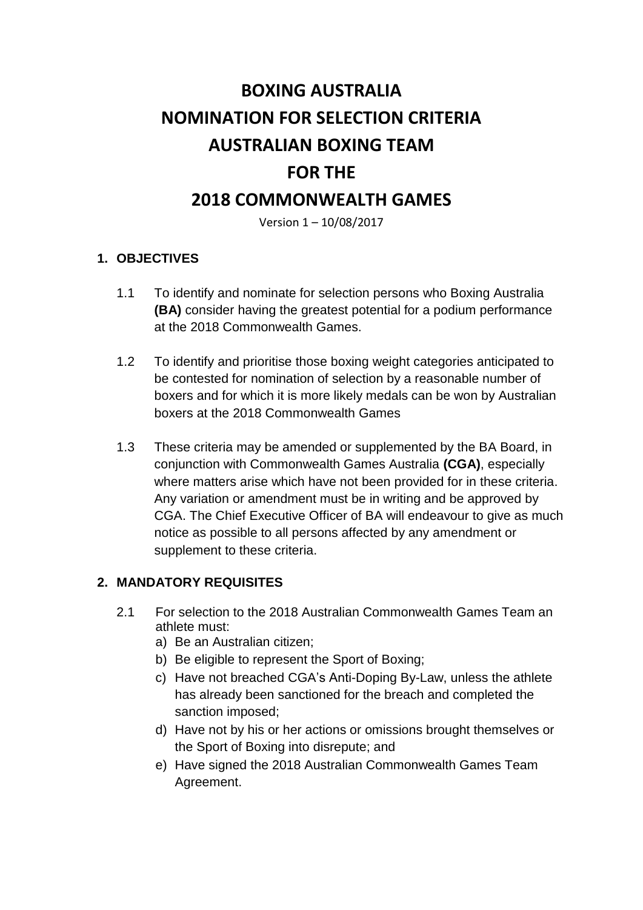# **BOXING AUSTRALIA NOMINATION FOR SELECTION CRITERIA AUSTRALIAN BOXING TEAM FOR THE 2018 COMMONWEALTH GAMES**

Version 1 – 10/08/2017

#### **1. OBJECTIVES**

- 1.1 To identify and nominate for selection persons who Boxing Australia **(BA)** consider having the greatest potential for a podium performance at the 2018 Commonwealth Games.
- 1.2 To identify and prioritise those boxing weight categories anticipated to be contested for nomination of selection by a reasonable number of boxers and for which it is more likely medals can be won by Australian boxers at the 2018 Commonwealth Games
- 1.3 These criteria may be amended or supplemented by the BA Board, in conjunction with Commonwealth Games Australia **(CGA)**, especially where matters arise which have not been provided for in these criteria. Any variation or amendment must be in writing and be approved by CGA. The Chief Executive Officer of BA will endeavour to give as much notice as possible to all persons affected by any amendment or supplement to these criteria.

#### **2. MANDATORY REQUISITES**

- 2.1 For selection to the 2018 Australian Commonwealth Games Team an athlete must:
	- a) Be an Australian citizen;
	- b) Be eligible to represent the Sport of Boxing;
	- c) Have not breached CGA's Anti-Doping By-Law, unless the athlete has already been sanctioned for the breach and completed the sanction imposed;
	- d) Have not by his or her actions or omissions brought themselves or the Sport of Boxing into disrepute; and
	- e) Have signed the 2018 Australian Commonwealth Games Team Agreement.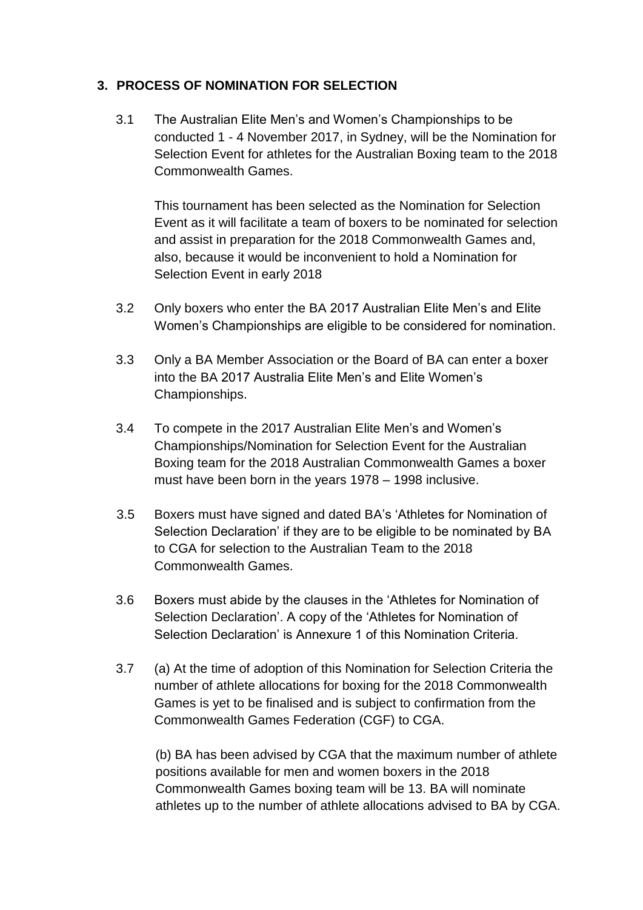#### **3. PROCESS OF NOMINATION FOR SELECTION**

3.1 The Australian Elite Men's and Women's Championships to be conducted 1 - 4 November 2017, in Sydney, will be the Nomination for Selection Event for athletes for the Australian Boxing team to the 2018 Commonwealth Games.

This tournament has been selected as the Nomination for Selection Event as it will facilitate a team of boxers to be nominated for selection and assist in preparation for the 2018 Commonwealth Games and, also, because it would be inconvenient to hold a Nomination for Selection Event in early 2018

- 3.2 Only boxers who enter the BA 2017 Australian Elite Men's and Elite Women's Championships are eligible to be considered for nomination.
- 3.3 Only a BA Member Association or the Board of BA can enter a boxer into the BA 2017 Australia Elite Men's and Elite Women's Championships.
- 3.4 To compete in the 2017 Australian Elite Men's and Women's Championships/Nomination for Selection Event for the Australian Boxing team for the 2018 Australian Commonwealth Games a boxer must have been born in the years 1978 – 1998 inclusive.
- 3.5 Boxers must have signed and dated BA's 'Athletes for Nomination of Selection Declaration' if they are to be eligible to be nominated by BA to CGA for selection to the Australian Team to the 2018 Commonwealth Games.
- 3.6 Boxers must abide by the clauses in the 'Athletes for Nomination of Selection Declaration'. A copy of the 'Athletes for Nomination of Selection Declaration' is Annexure 1 of this Nomination Criteria.
- 3.7 (a) At the time of adoption of this Nomination for Selection Criteria the number of athlete allocations for boxing for the 2018 Commonwealth Games is yet to be finalised and is subject to confirmation from the Commonwealth Games Federation (CGF) to CGA.

(b) BA has been advised by CGA that the maximum number of athlete positions available for men and women boxers in the 2018 Commonwealth Games boxing team will be 13. BA will nominate athletes up to the number of athlete allocations advised to BA by CGA.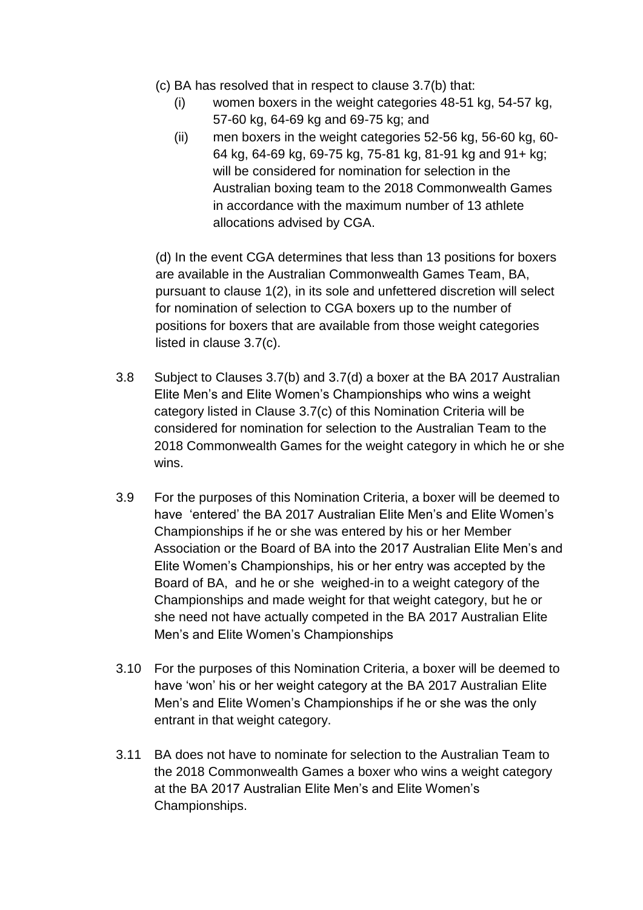- (c) BA has resolved that in respect to clause 3.7(b) that:
	- (i) women boxers in the weight categories 48-51 kg, 54-57 kg, 57-60 kg, 64-69 kg and 69-75 kg; and
	- (ii) men boxers in the weight categories 52-56 kg, 56-60 kg, 60- 64 kg, 64-69 kg, 69-75 kg, 75-81 kg, 81-91 kg and 91+ kg; will be considered for nomination for selection in the Australian boxing team to the 2018 Commonwealth Games in accordance with the maximum number of 13 athlete allocations advised by CGA.

(d) In the event CGA determines that less than 13 positions for boxers are available in the Australian Commonwealth Games Team, BA, pursuant to clause 1(2), in its sole and unfettered discretion will select for nomination of selection to CGA boxers up to the number of positions for boxers that are available from those weight categories listed in clause 3.7(c).

- 3.8 Subject to Clauses 3.7(b) and 3.7(d) a boxer at the BA 2017 Australian Elite Men's and Elite Women's Championships who wins a weight category listed in Clause 3.7(c) of this Nomination Criteria will be considered for nomination for selection to the Australian Team to the 2018 Commonwealth Games for the weight category in which he or she wins.
- 3.9 For the purposes of this Nomination Criteria, a boxer will be deemed to have 'entered' the BA 2017 Australian Elite Men's and Elite Women's Championships if he or she was entered by his or her Member Association or the Board of BA into the 2017 Australian Elite Men's and Elite Women's Championships, his or her entry was accepted by the Board of BA, and he or she weighed-in to a weight category of the Championships and made weight for that weight category, but he or she need not have actually competed in the BA 2017 Australian Elite Men's and Elite Women's Championships
- 3.10 For the purposes of this Nomination Criteria, a boxer will be deemed to have 'won' his or her weight category at the BA 2017 Australian Elite Men's and Elite Women's Championships if he or she was the only entrant in that weight category.
- 3.11 BA does not have to nominate for selection to the Australian Team to the 2018 Commonwealth Games a boxer who wins a weight category at the BA 2017 Australian Elite Men's and Elite Women's Championships.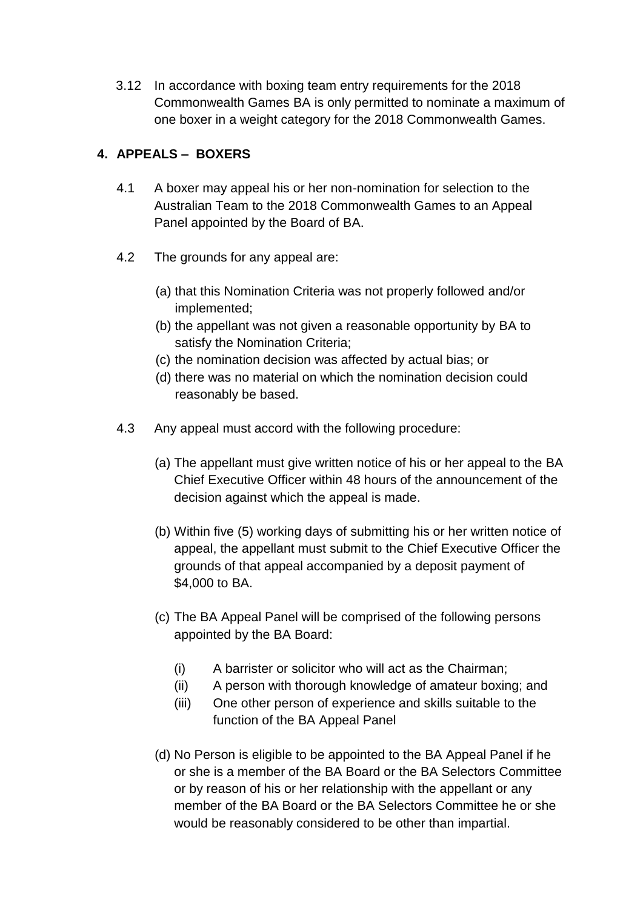3.12 In accordance with boxing team entry requirements for the 2018 Commonwealth Games BA is only permitted to nominate a maximum of one boxer in a weight category for the 2018 Commonwealth Games.

# **4. APPEALS – BOXERS**

- 4.1 A boxer may appeal his or her non-nomination for selection to the Australian Team to the 2018 Commonwealth Games to an Appeal Panel appointed by the Board of BA.
- 4.2 The grounds for any appeal are:
	- (a) that this Nomination Criteria was not properly followed and/or implemented;
	- (b) the appellant was not given a reasonable opportunity by BA to satisfy the Nomination Criteria;
	- (c) the nomination decision was affected by actual bias; or
	- (d) there was no material on which the nomination decision could reasonably be based.
- 4.3 Any appeal must accord with the following procedure:
	- (a) The appellant must give written notice of his or her appeal to the BA Chief Executive Officer within 48 hours of the announcement of the decision against which the appeal is made.
	- (b) Within five (5) working days of submitting his or her written notice of appeal, the appellant must submit to the Chief Executive Officer the grounds of that appeal accompanied by a deposit payment of \$4,000 to BA.
	- (c) The BA Appeal Panel will be comprised of the following persons appointed by the BA Board:
		- (i) A barrister or solicitor who will act as the Chairman;
		- (ii) A person with thorough knowledge of amateur boxing; and
		- (iii) One other person of experience and skills suitable to the function of the BA Appeal Panel
	- (d) No Person is eligible to be appointed to the BA Appeal Panel if he or she is a member of the BA Board or the BA Selectors Committee or by reason of his or her relationship with the appellant or any member of the BA Board or the BA Selectors Committee he or she would be reasonably considered to be other than impartial.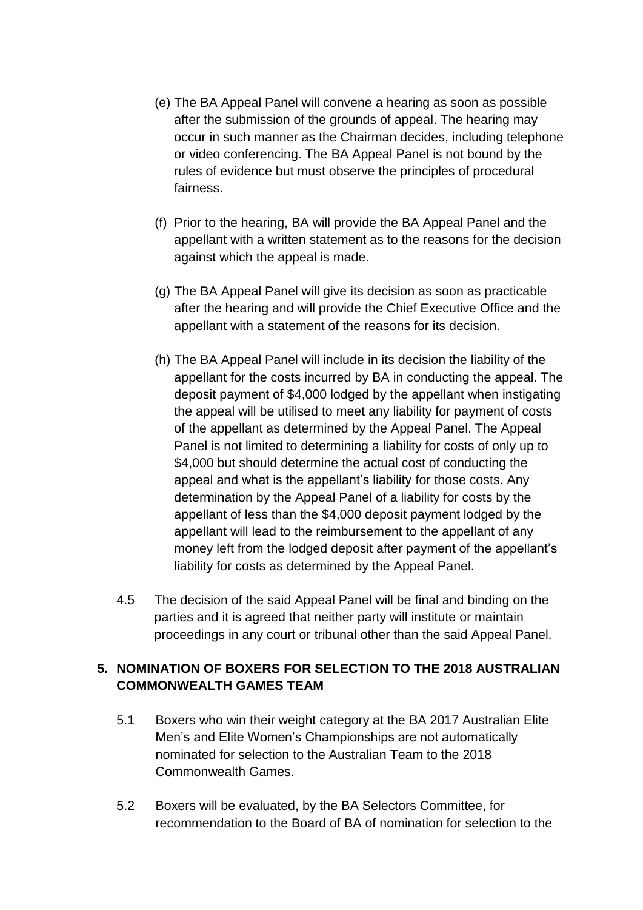- (e) The BA Appeal Panel will convene a hearing as soon as possible after the submission of the grounds of appeal. The hearing may occur in such manner as the Chairman decides, including telephone or video conferencing. The BA Appeal Panel is not bound by the rules of evidence but must observe the principles of procedural fairness.
- (f) Prior to the hearing, BA will provide the BA Appeal Panel and the appellant with a written statement as to the reasons for the decision against which the appeal is made.
- (g) The BA Appeal Panel will give its decision as soon as practicable after the hearing and will provide the Chief Executive Office and the appellant with a statement of the reasons for its decision.
- (h) The BA Appeal Panel will include in its decision the liability of the appellant for the costs incurred by BA in conducting the appeal. The deposit payment of \$4,000 lodged by the appellant when instigating the appeal will be utilised to meet any liability for payment of costs of the appellant as determined by the Appeal Panel. The Appeal Panel is not limited to determining a liability for costs of only up to \$4,000 but should determine the actual cost of conducting the appeal and what is the appellant's liability for those costs. Any determination by the Appeal Panel of a liability for costs by the appellant of less than the \$4,000 deposit payment lodged by the appellant will lead to the reimbursement to the appellant of any money left from the lodged deposit after payment of the appellant's liability for costs as determined by the Appeal Panel.
- 4.5 The decision of the said Appeal Panel will be final and binding on the parties and it is agreed that neither party will institute or maintain proceedings in any court or tribunal other than the said Appeal Panel.

# **5. NOMINATION OF BOXERS FOR SELECTION TO THE 2018 AUSTRALIAN COMMONWEALTH GAMES TEAM**

- 5.1 Boxers who win their weight category at the BA 2017 Australian Elite Men's and Elite Women's Championships are not automatically nominated for selection to the Australian Team to the 2018 Commonwealth Games.
- 5.2 Boxers will be evaluated, by the BA Selectors Committee, for recommendation to the Board of BA of nomination for selection to the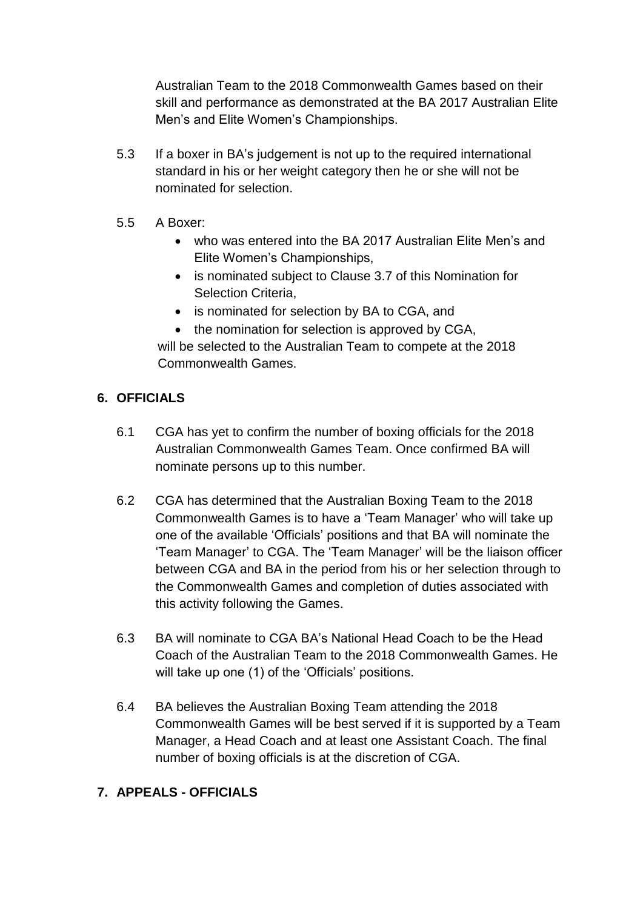Australian Team to the 2018 Commonwealth Games based on their skill and performance as demonstrated at the BA 2017 Australian Elite Men's and Elite Women's Championships.

- 5.3 If a boxer in BA's judgement is not up to the required international standard in his or her weight category then he or she will not be nominated for selection.
- 5.5 A Boxer:
	- who was entered into the BA 2017 Australian Elite Men's and Elite Women's Championships,
	- is nominated subject to Clause 3.7 of this Nomination for Selection Criteria,
	- is nominated for selection by BA to CGA, and
	- the nomination for selection is approved by CGA,

will be selected to the Australian Team to compete at the 2018 Commonwealth Games.

#### **6. OFFICIALS**

- 6.1 CGA has yet to confirm the number of boxing officials for the 2018 Australian Commonwealth Games Team. Once confirmed BA will nominate persons up to this number.
- 6.2 CGA has determined that the Australian Boxing Team to the 2018 Commonwealth Games is to have a 'Team Manager' who will take up one of the available 'Officials' positions and that BA will nominate the 'Team Manager' to CGA. The 'Team Manager' will be the liaison officer between CGA and BA in the period from his or her selection through to the Commonwealth Games and completion of duties associated with this activity following the Games.
- 6.3 BA will nominate to CGA BA's National Head Coach to be the Head Coach of the Australian Team to the 2018 Commonwealth Games. He will take up one (1) of the 'Officials' positions.
- 6.4 BA believes the Australian Boxing Team attending the 2018 Commonwealth Games will be best served if it is supported by a Team Manager, a Head Coach and at least one Assistant Coach. The final number of boxing officials is at the discretion of CGA.

# **7. APPEALS - OFFICIALS**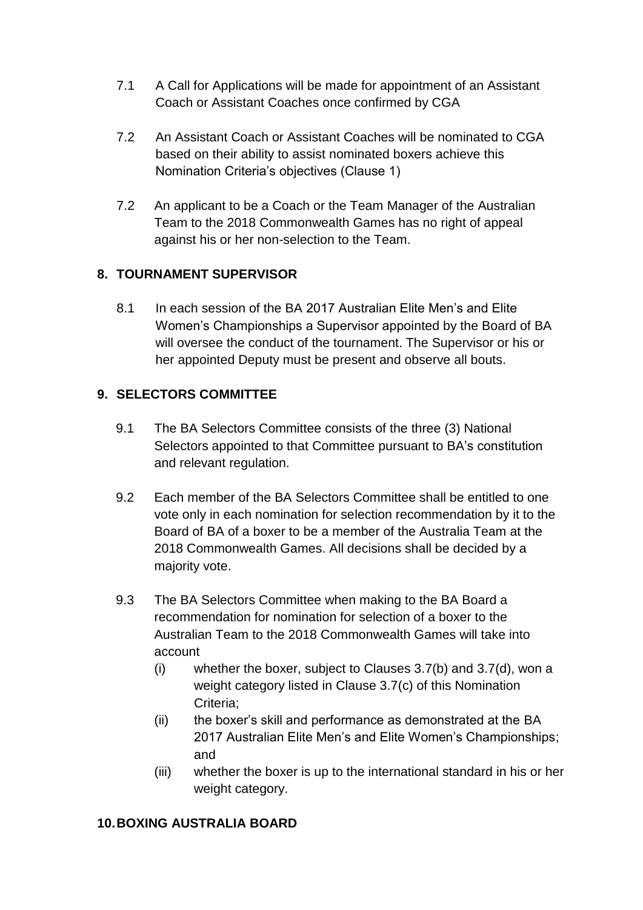- 7.1 A Call for Applications will be made for appointment of an Assistant Coach or Assistant Coaches once confirmed by CGA
- 7.2 An Assistant Coach or Assistant Coaches will be nominated to CGA based on their ability to assist nominated boxers achieve this Nomination Criteria's objectives (Clause 1)
- 7.2 An applicant to be a Coach or the Team Manager of the Australian Team to the 2018 Commonwealth Games has no right of appeal against his or her non-selection to the Team.

# **8. TOURNAMENT SUPERVISOR**

8.1 In each session of the BA 2017 Australian Elite Men's and Elite Women's Championships a Supervisor appointed by the Board of BA will oversee the conduct of the tournament. The Supervisor or his or her appointed Deputy must be present and observe all bouts.

#### **9. SELECTORS COMMITTEE**

- 9.1 The BA Selectors Committee consists of the three (3) National Selectors appointed to that Committee pursuant to BA's constitution and relevant regulation.
- 9.2 Each member of the BA Selectors Committee shall be entitled to one vote only in each nomination for selection recommendation by it to the Board of BA of a boxer to be a member of the Australia Team at the 2018 Commonwealth Games. All decisions shall be decided by a majority vote.
- 9.3 The BA Selectors Committee when making to the BA Board a recommendation for nomination for selection of a boxer to the Australian Team to the 2018 Commonwealth Games will take into account
	- (i) whether the boxer, subject to Clauses 3.7(b) and 3.7(d), won a weight category listed in Clause 3.7(c) of this Nomination Criteria;
	- (ii) the boxer's skill and performance as demonstrated at the BA 2017 Australian Elite Men's and Elite Women's Championships; and
	- (iii) whether the boxer is up to the international standard in his or her weight category.

#### **10.BOXING AUSTRALIA BOARD**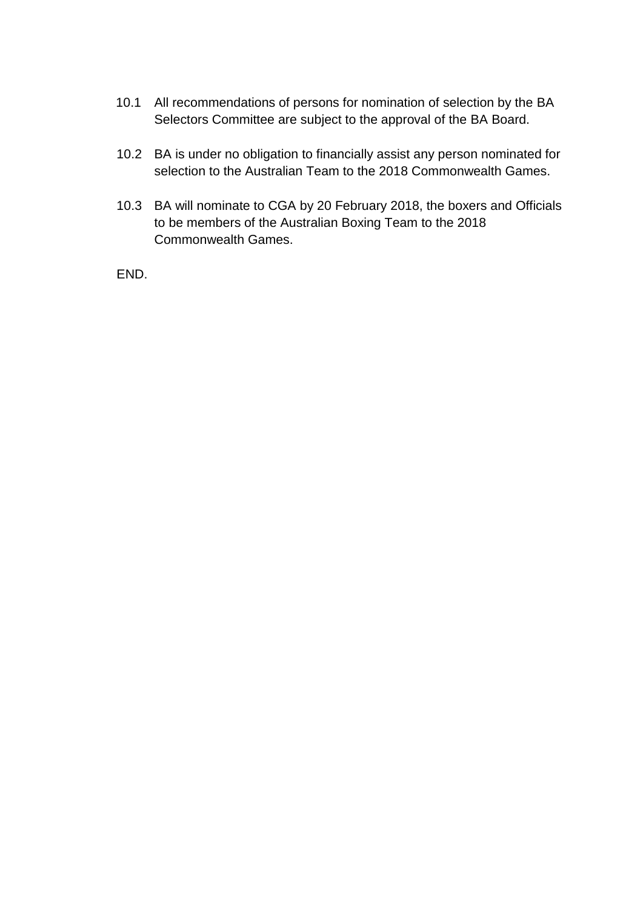- 10.1 All recommendations of persons for nomination of selection by the BA Selectors Committee are subject to the approval of the BA Board.
- 10.2 BA is under no obligation to financially assist any person nominated for selection to the Australian Team to the 2018 Commonwealth Games.
- 10.3 BA will nominate to CGA by 20 February 2018, the boxers and Officials to be members of the Australian Boxing Team to the 2018 Commonwealth Games.

END.